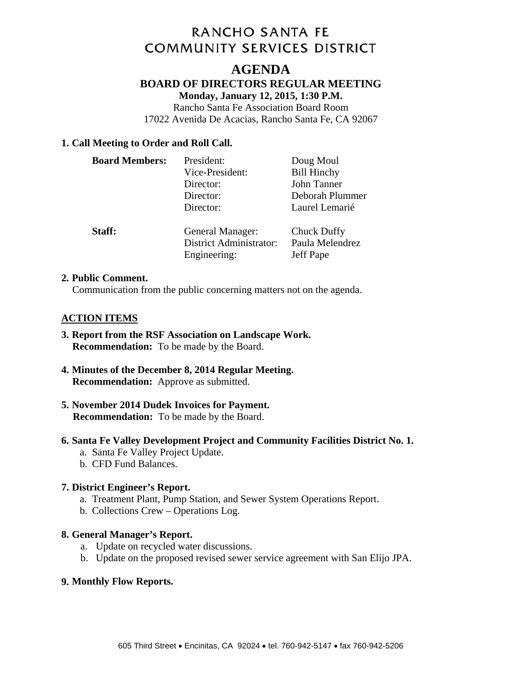# **RANCHO SANTA FE COMMUNITY SERVICES DISTRICT**

# **AGENDA BOARD OF DIRECTORS REGULAR MEETING Monday, January 12, 2015, 1:30 P.M.**

Rancho Santa Fe Association Board Room 17022 Avenida De Acacias, Rancho Santa Fe, CA 92067

## **1. Call Meeting to Order and Roll Call.**

| <b>Board Members:</b> | President:                                                  | Doug Moul                                   |
|-----------------------|-------------------------------------------------------------|---------------------------------------------|
|                       | Vice-President:                                             | <b>Bill Hinchy</b>                          |
|                       | Director:                                                   | John Tanner                                 |
|                       | Director:                                                   | Deborah Plummer                             |
|                       | Director:                                                   | Laurel Lemarié                              |
| Staff:                | General Manager:<br>District Administrator:<br>Engineering: | Chuck Duffy<br>Paula Melendrez<br>Jeff Pape |

#### **2. Public Comment.**

Communication from the public concerning matters not on the agenda.

## **ACTION ITEMS**

- **3. Report from the RSF Association on Landscape Work. Recommendation:** To be made by the Board.
- **4. Minutes of the December 8, 2014 Regular Meeting. Recommendation:** Approve as submitted.
- **5. November 2014 Dudek Invoices for Payment. Recommendation:** To be made by the Board.
- **6. Santa Fe Valley Development Project and Community Facilities District No. 1.** 
	- a. Santa Fe Valley Project Update.
	- b. CFD Fund Balances.

## **7. District Engineer's Report.**

- a. Treatment Plant, Pump Station, and Sewer System Operations Report.
- b. Collections Crew Operations Log.

#### **8. General Manager's Report.**

- a. Update on recycled water discussions.
- b. Update on the proposed revised sewer service agreement with San Elijo JPA.

## **9. Monthly Flow Reports.**